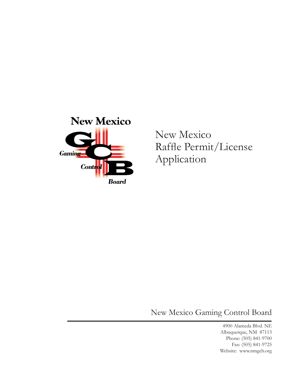

New Mexico Raffle Permit/License Application

New Mexico Gaming Control Board

4900 Alameda Blvd. NE Albuquerque, NM 87113 Phone: (505) 841-9700 Fax: (505) 841-9725 Website: www.nmgcb.org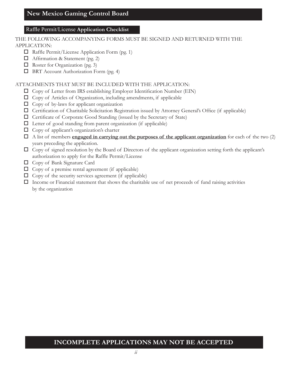#### Raffle Permit/License **Application Checklist**

#### THE FOLLOWING ACCOMPANYING FORMS MUST BE SIGNED AND RETURNED WITH THE APPLICATION:

- □ Raffle Permit/License Application Form (pg. 1)
- $\Box$  Affirmation & Statement (pg. 2)
- $\Box$  Roster for Organization (pg. 3)
- $\Box$  BRT Account Authorization Form (pg. 4)

### ATTACHMENTS THAT MUST BE INCLUDED WITH THE APPLICATION:

- $\Box$  Copy of Letter from IRS establishing Employer Identification Number (EIN)
- $\Box$  Copy of Articles of Organization, including amendments, if applicable
- $\Box$  Copy of by-laws for applicant organization
- Certification of Charitable Solicitation Registration issued by Attorney General's Office (if applicable)
- $\Box$  Certificate of Corporate Good Standing (issued by the Secretary of State)
- $\Box$  Letter of good standing from parent organization (if applicable)
- $\Box$  Copy of applicant's organization's charter
- A list of members **engaged in carrying out the purposes of the applicant organization** for each of the two (2) years preceding the application.
- $\Box$  Copy of signed resolution by the Board of Directors of the applicant organization setting forth the applicant's authorization to apply for the Raffle Permit/License
- □ Copy of Bank Signature Card
- $\Box$  Copy of a premise rental agreement (if applicable)
- $\Box$  Copy of the security services agreement (if applicable)
- $\Box$  Income or Financial statement that shows the charitable use of net proceeds of fund raising activities by the organization

## **INCOMPLETE APPLICATIONS MAY NOT BE ACCEPTED**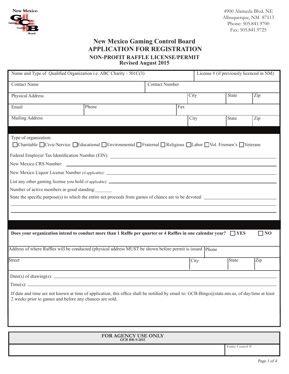

## **New Mexico Gaming Control Board APPLICATION FOR REGISTRATION NON-PROFIT RAFFLE LICENSE/PERMIT Revised August 2015**

| Name and Type of Qualified Organization i.e. ABC Charity - 501C(3)                                                                                                                                       |                      |                       | License $#$ (if previously licenced in NM) |              |           |  |  |
|----------------------------------------------------------------------------------------------------------------------------------------------------------------------------------------------------------|----------------------|-----------------------|--------------------------------------------|--------------|-----------|--|--|
| <b>Contact Name</b>                                                                                                                                                                                      |                      | <b>Contact Number</b> |                                            |              |           |  |  |
| Physical Address                                                                                                                                                                                         |                      |                       | City                                       | <b>State</b> | Zip       |  |  |
| Email                                                                                                                                                                                                    | Phone                | Fax                   |                                            |              |           |  |  |
| <b>Mailing Address</b>                                                                                                                                                                                   |                      |                       | City                                       | <b>State</b> | Zip       |  |  |
|                                                                                                                                                                                                          |                      |                       |                                            |              |           |  |  |
| Type of organization:<br>□ Charitable □ Civic/Service □ Educational □ Environmental □ Fraternal □ Religious □ Labor □ Vol. Firemen's □ Veterans                                                          |                      |                       |                                            |              |           |  |  |
|                                                                                                                                                                                                          |                      |                       |                                            |              |           |  |  |
|                                                                                                                                                                                                          |                      |                       |                                            |              |           |  |  |
|                                                                                                                                                                                                          |                      |                       |                                            |              |           |  |  |
|                                                                                                                                                                                                          |                      |                       |                                            |              |           |  |  |
| Number of active members in good standing:                                                                                                                                                               |                      |                       |                                            |              |           |  |  |
| State the specific purpose(s) to which the entire net proceeds from games of chance are to be devoted:                                                                                                   |                      |                       |                                            |              |           |  |  |
|                                                                                                                                                                                                          |                      |                       |                                            |              |           |  |  |
|                                                                                                                                                                                                          |                      |                       |                                            |              |           |  |  |
|                                                                                                                                                                                                          |                      |                       |                                            |              |           |  |  |
| Does your organization intend to conduct more than 1 Raffle per quarter or 4 Raffles in one calendar year? $\Box$ YES                                                                                    |                      |                       |                                            |              | $\Box$ NO |  |  |
|                                                                                                                                                                                                          |                      |                       |                                            |              |           |  |  |
| Address of where Raffles will be conducted (physical address MUST be shown before permit is issued Phone                                                                                                 |                      |                       |                                            |              |           |  |  |
| Street                                                                                                                                                                                                   |                      |                       | City                                       | <b>State</b> | Zip       |  |  |
|                                                                                                                                                                                                          |                      |                       |                                            |              |           |  |  |
|                                                                                                                                                                                                          |                      |                       |                                            |              |           |  |  |
| Time(s):                                                                                                                                                                                                 |                      |                       |                                            |              |           |  |  |
| If date and time are not known at time of application, this office shall be notified by email to: GCB-Bingo@state.nm.us, of day/time at least<br>2 weeks prior to games and before any chances are sold. |                      |                       |                                            |              |           |  |  |
|                                                                                                                                                                                                          |                      |                       |                                            |              |           |  |  |
|                                                                                                                                                                                                          |                      |                       |                                            |              |           |  |  |
|                                                                                                                                                                                                          |                      |                       |                                            |              |           |  |  |
| FOR AGENCY USE ONLY                                                                                                                                                                                      |                      |                       |                                            |              |           |  |  |
|                                                                                                                                                                                                          | <b>GCB BR-9-2015</b> |                       |                                            |              |           |  |  |

Entity Control #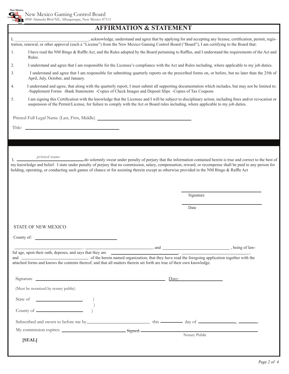

## **AFFIRMATION & STATEMENT**

|                                   |                                                                                                                                                                                                                                                            | acknowledge, understand and agree that by applying for and accepting any license, certification, permit, regis-<br>tration, renewal, or other approval (each a "License") from the New Mexico Gaming Control Board ("Board"), I am certifying to the Board that:                                                                                                                                                              |  |  |  |  |  |
|-----------------------------------|------------------------------------------------------------------------------------------------------------------------------------------------------------------------------------------------------------------------------------------------------------|-------------------------------------------------------------------------------------------------------------------------------------------------------------------------------------------------------------------------------------------------------------------------------------------------------------------------------------------------------------------------------------------------------------------------------|--|--|--|--|--|
| 1.                                | I have read the NM Bingo & Raffle Act, and the Rules adopted by the Board pertaining to Raffles, and I understand the requirements of the Act and<br>Rules.                                                                                                |                                                                                                                                                                                                                                                                                                                                                                                                                               |  |  |  |  |  |
| 2.                                | I understand and agree that I am responsible for the Licensee's compliance with the Act and Rules including, where applicable to my job duties.                                                                                                            |                                                                                                                                                                                                                                                                                                                                                                                                                               |  |  |  |  |  |
| 3.                                | I understand and agree that I am responsible for submitting quarterly reports on the prescribed forms on, or before, but no later than the 25th of<br>April, July, October, and January.                                                                   |                                                                                                                                                                                                                                                                                                                                                                                                                               |  |  |  |  |  |
| 4.                                | I understand and agree, that along with the quarterly report, I must submit all supporting documentation which includes, but may not be limited to:<br>-Supplement Forms -Bank Statements -Copies of Check Images and Deposit Slips -Copies of Tax Coupons |                                                                                                                                                                                                                                                                                                                                                                                                                               |  |  |  |  |  |
| 5.                                |                                                                                                                                                                                                                                                            | I am signing this Certification with the knowledge that the Licensee and I will be subject to disciplinary action, including fines and/or revocation or<br>suspension of the Permit/License, for failure to comply with the Act or Board rules including, where applicable to my job duties.                                                                                                                                  |  |  |  |  |  |
|                                   | Printed Full Legal Name (Last, First, Middle) ___________________________________                                                                                                                                                                          |                                                                                                                                                                                                                                                                                                                                                                                                                               |  |  |  |  |  |
|                                   |                                                                                                                                                                                                                                                            |                                                                                                                                                                                                                                                                                                                                                                                                                               |  |  |  |  |  |
|                                   |                                                                                                                                                                                                                                                            |                                                                                                                                                                                                                                                                                                                                                                                                                               |  |  |  |  |  |
|                                   |                                                                                                                                                                                                                                                            |                                                                                                                                                                                                                                                                                                                                                                                                                               |  |  |  |  |  |
| $I_{\rm{L}}$ $\frac{1}{\sqrt{2}}$ | <i>printed name</i>                                                                                                                                                                                                                                        | do solemnly swear under penalty of perjury that the information contained herein is true and correct to the best of<br>my knowledge and belief. I state under penalty of perjury that no commission, salary, compensation, reward, or recompense shall be paid to any person for<br>holding, operating, or conducting such games of chance or for assisting therein except as otherwise provided in the NM Bingo & Raffle Act |  |  |  |  |  |
|                                   |                                                                                                                                                                                                                                                            |                                                                                                                                                                                                                                                                                                                                                                                                                               |  |  |  |  |  |
|                                   |                                                                                                                                                                                                                                                            | Signature                                                                                                                                                                                                                                                                                                                                                                                                                     |  |  |  |  |  |
|                                   |                                                                                                                                                                                                                                                            | Date                                                                                                                                                                                                                                                                                                                                                                                                                          |  |  |  |  |  |
|                                   |                                                                                                                                                                                                                                                            |                                                                                                                                                                                                                                                                                                                                                                                                                               |  |  |  |  |  |
|                                   |                                                                                                                                                                                                                                                            |                                                                                                                                                                                                                                                                                                                                                                                                                               |  |  |  |  |  |
|                                   | STATE OF NEW MEXICO                                                                                                                                                                                                                                        |                                                                                                                                                                                                                                                                                                                                                                                                                               |  |  |  |  |  |
| County of:                        |                                                                                                                                                                                                                                                            |                                                                                                                                                                                                                                                                                                                                                                                                                               |  |  |  |  |  |
|                                   |                                                                                                                                                                                                                                                            |                                                                                                                                                                                                                                                                                                                                                                                                                               |  |  |  |  |  |
|                                   |                                                                                                                                                                                                                                                            |                                                                                                                                                                                                                                                                                                                                                                                                                               |  |  |  |  |  |
|                                   | attached forms and knows the contents thereof; and that all matters therein set forth are true of their own knowledge.                                                                                                                                     |                                                                                                                                                                                                                                                                                                                                                                                                                               |  |  |  |  |  |
|                                   |                                                                                                                                                                                                                                                            | Signature <u>example and the set of the set of the set of the set of the set of the set of the set of the set of the set of the set of the set of the set of the set of the set of the set of the set of the set of the set of t</u>                                                                                                                                                                                          |  |  |  |  |  |
|                                   | (Must be notarized by notary public)                                                                                                                                                                                                                       |                                                                                                                                                                                                                                                                                                                                                                                                                               |  |  |  |  |  |
|                                   |                                                                                                                                                                                                                                                            |                                                                                                                                                                                                                                                                                                                                                                                                                               |  |  |  |  |  |
|                                   |                                                                                                                                                                                                                                                            |                                                                                                                                                                                                                                                                                                                                                                                                                               |  |  |  |  |  |
|                                   |                                                                                                                                                                                                                                                            |                                                                                                                                                                                                                                                                                                                                                                                                                               |  |  |  |  |  |
|                                   |                                                                                                                                                                                                                                                            |                                                                                                                                                                                                                                                                                                                                                                                                                               |  |  |  |  |  |
|                                   | [SEAL]                                                                                                                                                                                                                                                     |                                                                                                                                                                                                                                                                                                                                                                                                                               |  |  |  |  |  |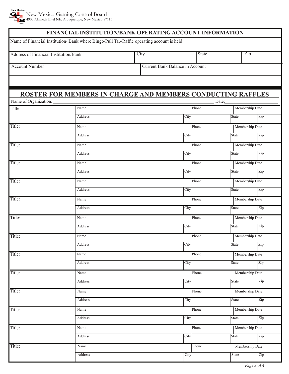

| Name of Financial Institution/ Bank where Bingo/Pull Tab/Raffle operating account is held:<br>Zip<br>State<br>City<br><b>Account Number</b><br>Current Bank Balance in Account<br>ROSTER FOR MEMBERS IN CHARGE AND MEMBERS CONDUCTING RAFFLES<br>Name of Organization:<br>Date:<br>Title:<br>Name<br>Phone<br>Membership Date<br>Address<br>City<br>Zip<br>State<br>Phone<br>Membership Date<br>Name<br>Address<br>City<br>Zip<br>State<br>Phone<br>Membership Date<br>Name<br>City<br>Zip<br>Address<br><b>State</b><br>Phone<br>Name<br>Membership Date<br>Address<br>Zip<br>City<br><b>State</b><br>Phone<br>Membership Date<br>Name<br>Address<br>City<br>State<br>Zip<br>Phone<br>Membership Date<br>Name<br>Address<br>Zip<br>City<br><b>State</b><br>Phone<br>Membership Date<br>Name<br>Address<br>City<br>State<br>Zip<br>Phone<br>Membership Date<br>Name<br>Zip<br>City<br>Address<br>State<br>Phone<br>Membership Date<br>Name<br>Address<br>City<br>Zip<br><b>State</b><br>Phone<br>Membership Date<br>Name<br>Zip<br>Address<br>City<br>State<br>Phone<br>Membership Date<br>Name<br>Address<br>City<br>Zip<br>State<br>Phone<br>Membership Date<br>Name<br>Zip<br>Address<br>City<br><b>State</b><br>Phone<br>Membership Date<br>Name<br>Address<br>City<br>Zip<br>State<br>Phone<br>Membership Date<br>Name<br>Zip<br>Address<br>City<br><b>State</b> |                                       |  | FINANCIAL INSTITUTION/BANK OPERATING ACCOUNT INFORMATION |  |  |
|-----------------------------------------------------------------------------------------------------------------------------------------------------------------------------------------------------------------------------------------------------------------------------------------------------------------------------------------------------------------------------------------------------------------------------------------------------------------------------------------------------------------------------------------------------------------------------------------------------------------------------------------------------------------------------------------------------------------------------------------------------------------------------------------------------------------------------------------------------------------------------------------------------------------------------------------------------------------------------------------------------------------------------------------------------------------------------------------------------------------------------------------------------------------------------------------------------------------------------------------------------------------------------------------------------------------------------------------------------------------------|---------------------------------------|--|----------------------------------------------------------|--|--|
|                                                                                                                                                                                                                                                                                                                                                                                                                                                                                                                                                                                                                                                                                                                                                                                                                                                                                                                                                                                                                                                                                                                                                                                                                                                                                                                                                                       |                                       |  |                                                          |  |  |
|                                                                                                                                                                                                                                                                                                                                                                                                                                                                                                                                                                                                                                                                                                                                                                                                                                                                                                                                                                                                                                                                                                                                                                                                                                                                                                                                                                       | Address of Financial Institution/Bank |  |                                                          |  |  |
|                                                                                                                                                                                                                                                                                                                                                                                                                                                                                                                                                                                                                                                                                                                                                                                                                                                                                                                                                                                                                                                                                                                                                                                                                                                                                                                                                                       |                                       |  |                                                          |  |  |
|                                                                                                                                                                                                                                                                                                                                                                                                                                                                                                                                                                                                                                                                                                                                                                                                                                                                                                                                                                                                                                                                                                                                                                                                                                                                                                                                                                       |                                       |  |                                                          |  |  |
|                                                                                                                                                                                                                                                                                                                                                                                                                                                                                                                                                                                                                                                                                                                                                                                                                                                                                                                                                                                                                                                                                                                                                                                                                                                                                                                                                                       |                                       |  |                                                          |  |  |
|                                                                                                                                                                                                                                                                                                                                                                                                                                                                                                                                                                                                                                                                                                                                                                                                                                                                                                                                                                                                                                                                                                                                                                                                                                                                                                                                                                       |                                       |  |                                                          |  |  |
|                                                                                                                                                                                                                                                                                                                                                                                                                                                                                                                                                                                                                                                                                                                                                                                                                                                                                                                                                                                                                                                                                                                                                                                                                                                                                                                                                                       |                                       |  |                                                          |  |  |
|                                                                                                                                                                                                                                                                                                                                                                                                                                                                                                                                                                                                                                                                                                                                                                                                                                                                                                                                                                                                                                                                                                                                                                                                                                                                                                                                                                       |                                       |  |                                                          |  |  |
|                                                                                                                                                                                                                                                                                                                                                                                                                                                                                                                                                                                                                                                                                                                                                                                                                                                                                                                                                                                                                                                                                                                                                                                                                                                                                                                                                                       | Title:                                |  |                                                          |  |  |
|                                                                                                                                                                                                                                                                                                                                                                                                                                                                                                                                                                                                                                                                                                                                                                                                                                                                                                                                                                                                                                                                                                                                                                                                                                                                                                                                                                       |                                       |  |                                                          |  |  |
|                                                                                                                                                                                                                                                                                                                                                                                                                                                                                                                                                                                                                                                                                                                                                                                                                                                                                                                                                                                                                                                                                                                                                                                                                                                                                                                                                                       | Title:                                |  |                                                          |  |  |
|                                                                                                                                                                                                                                                                                                                                                                                                                                                                                                                                                                                                                                                                                                                                                                                                                                                                                                                                                                                                                                                                                                                                                                                                                                                                                                                                                                       |                                       |  |                                                          |  |  |
|                                                                                                                                                                                                                                                                                                                                                                                                                                                                                                                                                                                                                                                                                                                                                                                                                                                                                                                                                                                                                                                                                                                                                                                                                                                                                                                                                                       | Title:                                |  |                                                          |  |  |
|                                                                                                                                                                                                                                                                                                                                                                                                                                                                                                                                                                                                                                                                                                                                                                                                                                                                                                                                                                                                                                                                                                                                                                                                                                                                                                                                                                       |                                       |  |                                                          |  |  |
|                                                                                                                                                                                                                                                                                                                                                                                                                                                                                                                                                                                                                                                                                                                                                                                                                                                                                                                                                                                                                                                                                                                                                                                                                                                                                                                                                                       | Title:                                |  |                                                          |  |  |
|                                                                                                                                                                                                                                                                                                                                                                                                                                                                                                                                                                                                                                                                                                                                                                                                                                                                                                                                                                                                                                                                                                                                                                                                                                                                                                                                                                       |                                       |  |                                                          |  |  |
|                                                                                                                                                                                                                                                                                                                                                                                                                                                                                                                                                                                                                                                                                                                                                                                                                                                                                                                                                                                                                                                                                                                                                                                                                                                                                                                                                                       | Title:                                |  |                                                          |  |  |
|                                                                                                                                                                                                                                                                                                                                                                                                                                                                                                                                                                                                                                                                                                                                                                                                                                                                                                                                                                                                                                                                                                                                                                                                                                                                                                                                                                       |                                       |  |                                                          |  |  |
|                                                                                                                                                                                                                                                                                                                                                                                                                                                                                                                                                                                                                                                                                                                                                                                                                                                                                                                                                                                                                                                                                                                                                                                                                                                                                                                                                                       | Title:                                |  |                                                          |  |  |
|                                                                                                                                                                                                                                                                                                                                                                                                                                                                                                                                                                                                                                                                                                                                                                                                                                                                                                                                                                                                                                                                                                                                                                                                                                                                                                                                                                       |                                       |  |                                                          |  |  |
|                                                                                                                                                                                                                                                                                                                                                                                                                                                                                                                                                                                                                                                                                                                                                                                                                                                                                                                                                                                                                                                                                                                                                                                                                                                                                                                                                                       | Title:                                |  |                                                          |  |  |
|                                                                                                                                                                                                                                                                                                                                                                                                                                                                                                                                                                                                                                                                                                                                                                                                                                                                                                                                                                                                                                                                                                                                                                                                                                                                                                                                                                       |                                       |  |                                                          |  |  |
|                                                                                                                                                                                                                                                                                                                                                                                                                                                                                                                                                                                                                                                                                                                                                                                                                                                                                                                                                                                                                                                                                                                                                                                                                                                                                                                                                                       | Title:                                |  |                                                          |  |  |
|                                                                                                                                                                                                                                                                                                                                                                                                                                                                                                                                                                                                                                                                                                                                                                                                                                                                                                                                                                                                                                                                                                                                                                                                                                                                                                                                                                       |                                       |  |                                                          |  |  |
|                                                                                                                                                                                                                                                                                                                                                                                                                                                                                                                                                                                                                                                                                                                                                                                                                                                                                                                                                                                                                                                                                                                                                                                                                                                                                                                                                                       | Title:                                |  |                                                          |  |  |
|                                                                                                                                                                                                                                                                                                                                                                                                                                                                                                                                                                                                                                                                                                                                                                                                                                                                                                                                                                                                                                                                                                                                                                                                                                                                                                                                                                       |                                       |  |                                                          |  |  |
|                                                                                                                                                                                                                                                                                                                                                                                                                                                                                                                                                                                                                                                                                                                                                                                                                                                                                                                                                                                                                                                                                                                                                                                                                                                                                                                                                                       | Title:                                |  |                                                          |  |  |
|                                                                                                                                                                                                                                                                                                                                                                                                                                                                                                                                                                                                                                                                                                                                                                                                                                                                                                                                                                                                                                                                                                                                                                                                                                                                                                                                                                       |                                       |  |                                                          |  |  |
|                                                                                                                                                                                                                                                                                                                                                                                                                                                                                                                                                                                                                                                                                                                                                                                                                                                                                                                                                                                                                                                                                                                                                                                                                                                                                                                                                                       | Title:                                |  |                                                          |  |  |
|                                                                                                                                                                                                                                                                                                                                                                                                                                                                                                                                                                                                                                                                                                                                                                                                                                                                                                                                                                                                                                                                                                                                                                                                                                                                                                                                                                       |                                       |  |                                                          |  |  |
|                                                                                                                                                                                                                                                                                                                                                                                                                                                                                                                                                                                                                                                                                                                                                                                                                                                                                                                                                                                                                                                                                                                                                                                                                                                                                                                                                                       | Title:                                |  |                                                          |  |  |
|                                                                                                                                                                                                                                                                                                                                                                                                                                                                                                                                                                                                                                                                                                                                                                                                                                                                                                                                                                                                                                                                                                                                                                                                                                                                                                                                                                       |                                       |  |                                                          |  |  |
|                                                                                                                                                                                                                                                                                                                                                                                                                                                                                                                                                                                                                                                                                                                                                                                                                                                                                                                                                                                                                                                                                                                                                                                                                                                                                                                                                                       | Title:                                |  |                                                          |  |  |
|                                                                                                                                                                                                                                                                                                                                                                                                                                                                                                                                                                                                                                                                                                                                                                                                                                                                                                                                                                                                                                                                                                                                                                                                                                                                                                                                                                       |                                       |  |                                                          |  |  |